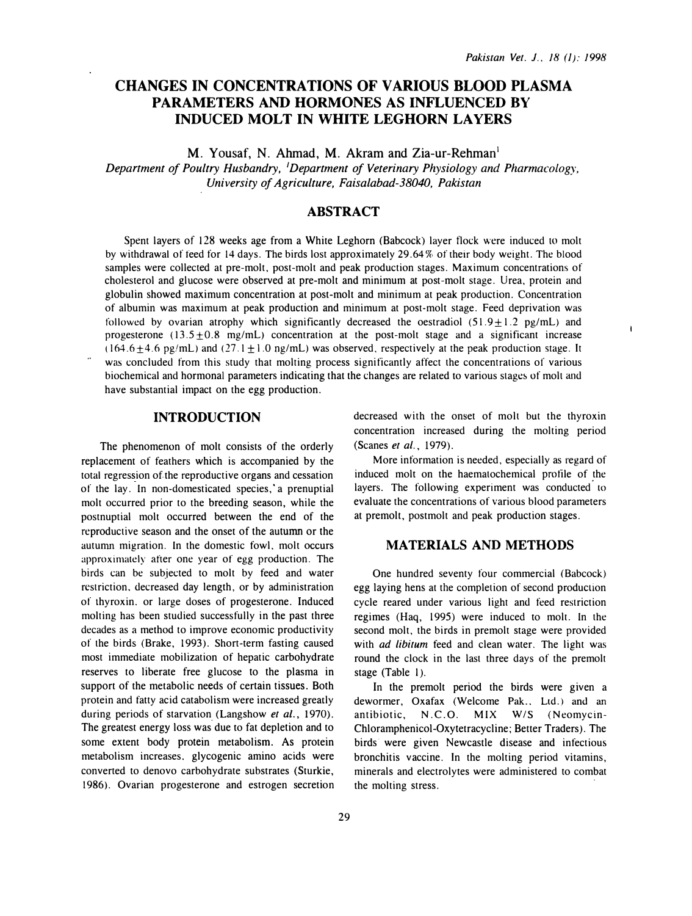$\mathbf{I}$ 

# CHANGES IN CONCENTRATIONS OF VARIOUS BLOOD PLASMA PARAMETERS AND HORMONES AS INFLUENCED BY INDUCED MOLT IN WHITE LEGHORN LAYERS

M. Yousaf, N. Ahmad, M. Akram and Zia-ur-Rehman<sup>1</sup>

Department of Poultry Husbandry, 'Department of Veterinary Physiology and Pharmacology, University of Agriculture, Faisalabad-38040, Pakistan

## ABSTRACT

Spent layers of 128 weeks age from a White Leghorn (Babcock) layer tlock were induced to molt by withdrawal of feed for 14 days. The birds lost approximately 29.64% of their body weight. The blood samples were collected at pre-molt, post-molt and peak production stages. Maximum concentrations of cholesterol and glucose were observed at pre-molt and minimum at post-molt stage. Urea, protein and globulin showed maximum concentration at post-molt and minimum at peak production. Concentration of albumin was maximum at peak production and minimum at post-molt stage. Feed deprivation was followed by ovarian atrophy which significantly decreased the oestradiol  $(51.9 \pm 1.2 \text{ pg/mL})$  and progesterone  $(13.5 \pm 0.8 \text{ mg/mL})$  concentration at the post-molt stage and a significant increase  $(164.6+4.6 \text{ pg/mL})$  and  $(27.1+1.0 \text{ ng/mL})$  was observed, respectively at the peak production stage. It was concluded from this study that molting process significantly affect the concentrations of various biochemical and hormonal parameters indicating that the changes are related to various stages of molt and have substantial impact on the egg production.

### INTRODUCTION

The phenomenon of molt consists of the orderly replacement of feathers which is accompanied by the total regression of the reproductive organs and cessation of the lay. In non-domesticated species, a prenuptial molt occurred prior to the breeding season, while the postnuptial molt occurred between the end of the reproductive season and the onset of the autumn or the autunm migration. In the domestic fowl, molt occurs approximately after one year of egg production. The birds can be subjected to molt by feed and water restriction. decreased day length, or by administration of thyroxin. or large doses of progesterone. Induced molting has been studied successfully in the past three decades as a method to improve economic productivity of the birds (Brake, 1993). Short-term fasting caused most immediate mobilization of hepatic carbohydrate reserves to liberate free glucose to the plasma in support of the metabolic needs of certain tissues. Both protein and fatty acid catabolism were increased greatly during periods of starvation (Langshow et al., 1970). The greatest energy loss was due to fat depletion and to some extent body protein metabolism. As protein metabolism increases. glycogenic amino acids were converted to denovo carbohydrate substrates (Sturkie, 1986). Ovarian progesterone and estrogen secretion decreased with the onset of molt but the thyroxin concentration increased during the molting period (Scanes et al., 1979).

More information is needed, especially as regard of induced molt on the haematochemical profile of the layers. The following experiment was conducted to evaluate the concentrations of various blood parameters at premolt, postmolt and peak production stages.

#### MATERIALS AND METHODS

One hundred seventy four commercial (Babcock) egg laying hens at the completion of second production cycle reared under various light and feed restriction regimes (Haq, 1995) were induced to molr. In the second molt, the birds in premolt stage were provided with *ad libitum* feed and clean water. The light was round the clock in the last three days of the premolt stage (Table 1).

In the premolt period the birds were given a dewormer, Oxafax (Welcome Pak.. Ltd.) and an antibiotic, N.C.O. MIX W/S (Neomycin-Chloramphenicol-Oxytetracycline; Better Traders). The birds were given Newcastle disease and infectious bronchitis vaccine. In the molting period vitamins, minerals and electrolytes were administered to combat the molting stress.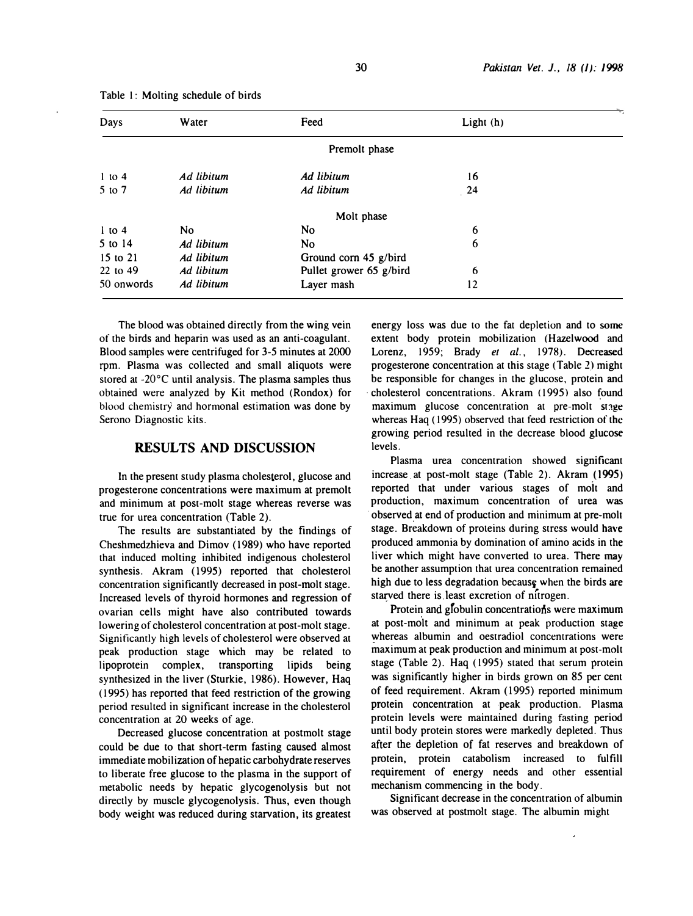| Days       | Water      | Feed                    | Light $(h)$ |  |
|------------|------------|-------------------------|-------------|--|
|            |            | Premolt phase           |             |  |
| $1$ to $4$ | Ad libitum | Ad libitum              | 16          |  |
| $5$ to $7$ | Ad libitum | Ad libitum              | 24          |  |
|            |            | Molt phase              |             |  |
| $1$ to 4   | No.        | No                      | 6           |  |
| 5 to 14    | Ad libitum | N <sub>0</sub>          | 6           |  |
| 15 to 21   | Ad libitum | Ground corn 45 g/bird   |             |  |
| 22 to 49   | Ad libitum | Pullet grower 65 g/bird | 6           |  |
| 50 onwords | Ad libitum | Layer mash              | 12          |  |

Table 1: Molting schedule of birds

The blood was obtained directly from the wing vein of the birds and heparin was used as an anti-coagulant. Blood samples were centrifuged for 3-5 minutes at 2000 rpm. Plasma was collected and small aliquots were stored at -20°C until analysis. The plasma samples thus obtained were analyzed by Kit method (Rondox) for blood chemistry and hormonal estimation was done by Serono Diagnostic kits.

### RESULTS AND DISCUSSION

In the present study plasma cholesterol, glucose and progesterone concentrations were maximum at premolt and minimum at post-molt stage whereas reverse was true for urea concentration (Table 2).

The results are substantiated by the findings of Cheshmedzhieva and Dimov ( 1989) who have reported that induced molting inhibited indigenous cholesterol synthesis. Akram (1995) reported that cholesterol concentration significantly decreased in post-molt stage. Increased levels of thyroid hormones and regression of ovarian cells might have also contributed towards lowering of cholesterol concentration at post-molt stage. Significantly high levels of cholesterol were observed at peak production stage which may be related to lipoprotein complex, transporting lipids being synthesized in the liver (Sturkie, 1986). However, Haq ( 1995) has reported that feed restriction of the growing period resulted in significant increase in the cholesterol concentration at 20 weeks of age.

Decreased glucose concentration at postmolt stage could be due to that short-term fasting caused almost immediate mobilization of hepatic carbohydrate reserves to liberate free glucose to the plasma in the support of metabolic needs by hepatic glycogenolysis but not directly by muscle glycogenolysis. Thus, even though body weight was reduced during starvation, its greatest

energy loss was due to the fat depletion and to some extent body protein mobilization (Hazelwood and Lorenz, 1959; Brady et al., 1978). Decreased progesterone concentration at this stage (Table 2) might be responsible for changes in the glucose, protein and cholesterol concentrations. Akram (1995) also found maximum glucose concentration at pre-molt stage whereas Haq ( 1995) observed that feed restriction of the growing period resulted in the decrease blood glucose levels.

Plasma urea concentration showed significant increase at post-molt stage (Table 2). Akram (1995) reported that under various stages of molt and production, maximum concentration of urea was · observed at end of production and minimum at pre-molt . stage. Breakdown of proteins during stress would have produced ammonia by domination of amino acids in the liver which might have converted to urea. There may be another assumption that urea concentration remained high due to less degradation because when the birds are starved there is least excretion of nitrogen.

Protein and globulin concentrations were maximum at post-molt and minimum at peak production stage whereas albumin and oestradiol concentrations were maximum at peak production and minimum at post-molt stage (Table 2). Haq (1995) stated that serum protein was significantly higher in birds grown on 85 per cent of feed requirement. Akram ( 1995) reported minimum protein concentration at peak production. Plasma protein levels were maintained during fasting period until body protein stores were markedly depleted. Thus after the depletion of fat reserves and breakdown of protein, protein catabolism increased to fulfill requirement of energy needs and other essential mechanism commencing in the body.

Significant decrease in the concentration of albumin was observed at postmolt stage. The albumin might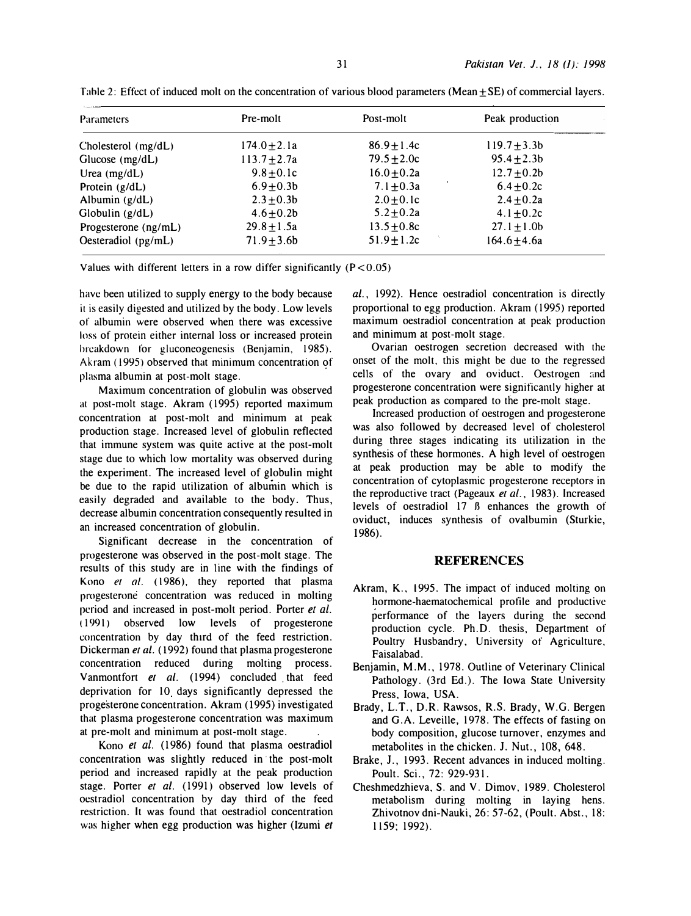| Peak production  | Post-molt       | Pre-molt         | <b>Parameters</b>                                                                                   |
|------------------|-----------------|------------------|-----------------------------------------------------------------------------------------------------|
| $119.7 + 3.3b$   | $86.9 \pm 1.4c$ | 174.0 $\pm$ 2.1a | Cholesterol (mg/dL)                                                                                 |
| $95.4 \pm 2.3b$  | $79.5 \pm 2.0c$ | $113.7 + 2.7a$   | Glucose $(mg/dL)$                                                                                   |
| $12.7 \pm 0.2b$  | $16.0 \pm 0.2a$ | $9.8 + 0.1c$     |                                                                                                     |
| $6.4 \pm 0.2c$   | $7.1 \pm 0.3a$  | $6.9 \pm 0.3 b$  |                                                                                                     |
| $2.4 \pm 0.2a$   | $2.0 \pm 0.1c$  | $2.3 \pm 0.3 b$  |                                                                                                     |
| 4.1 $\pm$ 0.2c   | $5.2 \pm 0.2a$  | $4.6 \pm 0.2b$   |                                                                                                     |
| $27.1 \pm 1.0$   | $13.5 \pm 0.8c$ | $29.8 + 1.5a$    |                                                                                                     |
| $164.6 \pm 4.6a$ | $51.9 \pm 1.2c$ | $71.9 \pm 3.6$   | Oesteradiol $(pg/mL)$                                                                               |
|                  |                 |                  | Urea $(mg/dL)$<br>Protein $(g/dL)$<br>Albumin $(g/dL)$<br>Globulin $(g/dL)$<br>Progesterone (ng/mL) |

Table 2: Effect of induced molt on the concentration of various blood parameters (Mean  $\pm$  SE) of commercial layers.

Values with different letters in a row differ significantly  $(P < 0.05)$ 

have been utilized to supply energy to the body because it is easily digested and utilized by the body. Low levels of albumin were observed when there was excessive loss of protein either internal loss or increased protein breakdown for gluconeogenesis (Benjamin, 1985). Akram ( 1995) observed that minimum concentration of plasma albumin at post-molt stage.

Maximum concentration of globulin was observed at post-molt stage. Akram (1995) reported maximum concentration at post-molt and minimum at peak production stage. Increased level of globulin reflected that immune system was quite active at the post-molt stage due to which low mortality was observed during the experiment. The increased level of globulin might be due to the rapid utilization of albumin which is easily degraded and available to the body. Thus, decrease albumin concentration consequently resulted in an increased concentration of globulin.

Significant decrease in the concentration of progesterone was observed in the post-molt stage. The results of this study are in line with the findings of Kono et al. (1986), they reported that plasma progesterone concentration was reduced in molting period and increased in post-molt period. Porter et al. ( 1991) observed low levels of progesterone concentration by day third of the feed restriction. Dickerman et al. (1992) found that plasma progesterone concentration reduced during molting process. Vanmontfort et al. (1994) concluded that feed deprivation for 10 days significantly depressed the progesterone concentration. Akram ( 1995) investigated that plasma progesterone concentration was maximum at pre-molt and minimum at post-molt stage.

Kono et al. (1986) found that plasma oestradiol concentration was slightly reduced in the post-molt period and increased rapidly at the peak production stage. Porter et al. (1991) observed low levels of oestradiol concentration by day third of the feed restriction. It was found that oestradiol concentration was higher when egg production was higher (Izumi et al., 1992). Hence oestradiol concentration is directly proportional to egg production. Akram (1995) reported maximum oestradiol concentration at peak production and minimum at post-molt stage.

Ovarian oestrogen secretion decreased with the onset of the molt, this might be due to the regressed cells of the ovary and oviduct. Oestrogen and progesterone concentration were significantly higher at peak production as compared to the pre-molt stage.

Increased production of oestrogen and progesterone was also followed by decreased level of cholesterol during three stages indicating its utilization in the synthesis of these hormones. A high level of oestrogen at peak production may be able to modify the concentration of cytoplasmic progesterone receptors in the reproductive tract (Pageaux et al., 1983). Increased levels of oestradiol 17 B enhances the growth of oviduct, induces synthesis of ovalbumin (Sturkie, 1986).

#### **REFERENCES**

- Akram, K., 1995. The impact of induced molting on hormone-haematochemical profile and productive performance of the layers during the second production cycle. Ph.D. thesis, Department of Poultry Husbandry, University of Agriculture, Faisalabad.
- Benjamin, M.M., 1978. Outline of Veterinary Clinical Pathology. (3rd Ed.). The Iowa State University Press, Iowa, USA.
- Brady, L.T., D.R. Rawsos, R.S. Brady, W.G. Bergen and G.A. Leveille, 1978. The effects of fasting on body composition, glucose turnover, enzymes and metabolites in the chicken. J. Nut., 108, 648.
- Brake, J., 1993. Recent advances in induced molting. Poult. Sci., 72: 929-931.
- Cheshmedzhieva, S. and V. Dimov, 1989. Cholesterol metabolism during molting in laying hens. Zhivotnov dni-Nauki, 26: 57-62, (Poult. Abst., 18: 1159; 1992).